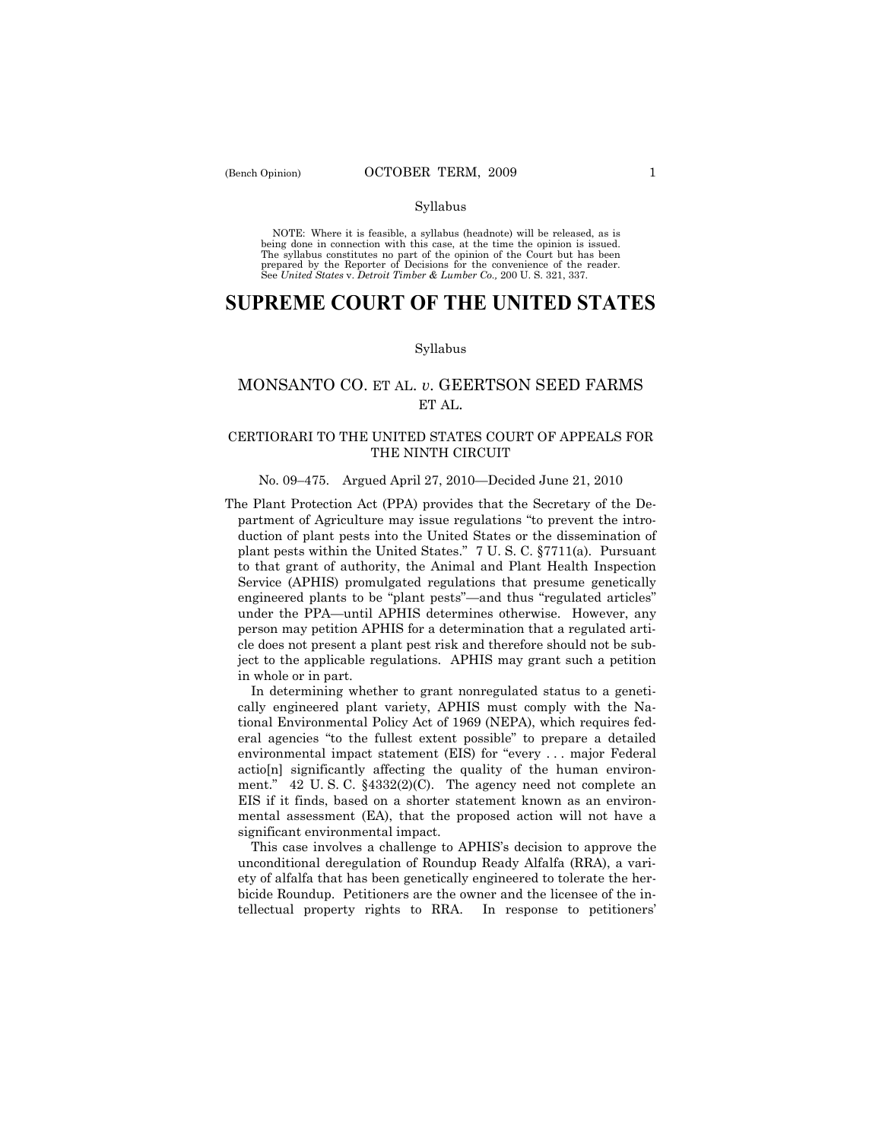NOTE: Where it is feasible, a syllabus (headnote) will be released, as is being done in connection with this case, at the time the opinion is issued. The syllabus constitutes no part of the opinion of the Court but has been<br>prepared by the Reporter of Decisions for the convenience of the reader.<br>See United States v. Detroit Timber & Lumber Co., 200 U. S. 321, 337.

# **SUPREME COURT OF THE UNITED STATES**

#### Syllabus

## MONSANTO CO. ET AL. *v*. GEERTSON SEED FARMS ET AL.

### CERTIORARI TO THE UNITED STATES COURT OF APPEALS FOR THE NINTH CIRCUIT

### No. 09–475. Argued April 27, 2010—Decided June 21, 2010

The Plant Protection Act (PPA) provides that the Secretary of the Department of Agriculture may issue regulations "to prevent the introduction of plant pests into the United States or the dissemination of plant pests within the United States." 7 U. S. C. §7711(a). Pursuant to that grant of authority, the Animal and Plant Health Inspection Service (APHIS) promulgated regulations that presume genetically engineered plants to be "plant pests"—and thus "regulated articles" under the PPA—until APHIS determines otherwise. However, any person may petition APHIS for a determination that a regulated article does not present a plant pest risk and therefore should not be subject to the applicable regulations. APHIS may grant such a petition in whole or in part.

 In determining whether to grant nonregulated status to a genetically engineered plant variety, APHIS must comply with the National Environmental Policy Act of 1969 (NEPA), which requires federal agencies "to the fullest extent possible" to prepare a detailed environmental impact statement (EIS) for "every . . . major Federal actio[n] significantly affecting the quality of the human environment." 42 U. S. C. §4332(2)(C). The agency need not complete an EIS if it finds, based on a shorter statement known as an environmental assessment (EA), that the proposed action will not have a significant environmental impact.

 This case involves a challenge to APHIS's decision to approve the unconditional deregulation of Roundup Ready Alfalfa (RRA), a variety of alfalfa that has been genetically engineered to tolerate the herbicide Roundup. Petitioners are the owner and the licensee of the intellectual property rights to RRA. In response to petitioners'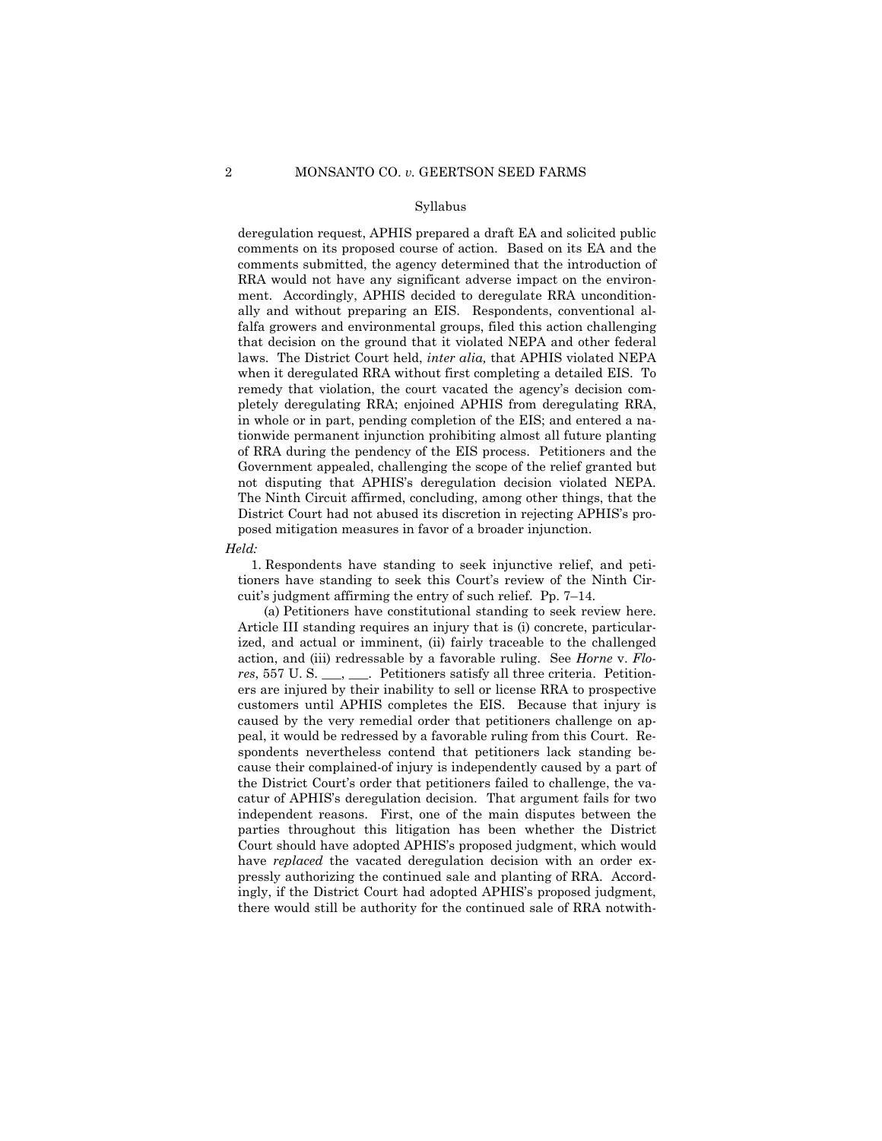deregulation request, APHIS prepared a draft EA and solicited public comments on its proposed course of action. Based on its EA and the comments submitted, the agency determined that the introduction of RRA would not have any significant adverse impact on the environment. Accordingly, APHIS decided to deregulate RRA unconditionally and without preparing an EIS. Respondents, conventional alfalfa growers and environmental groups, filed this action challenging that decision on the ground that it violated NEPA and other federal laws. The District Court held, *inter alia,* that APHIS violated NEPA when it deregulated RRA without first completing a detailed EIS. To remedy that violation, the court vacated the agency's decision completely deregulating RRA; enjoined APHIS from deregulating RRA, in whole or in part, pending completion of the EIS; and entered a nationwide permanent injunction prohibiting almost all future planting of RRA during the pendency of the EIS process. Petitioners and the Government appealed, challenging the scope of the relief granted but not disputing that APHIS's deregulation decision violated NEPA. The Ninth Circuit affirmed, concluding, among other things, that the District Court had not abused its discretion in rejecting APHIS's proposed mitigation measures in favor of a broader injunction.

#### *Held:*

 1. Respondents have standing to seek injunctive relief, and petitioners have standing to seek this Court's review of the Ninth Circuit's judgment affirming the entry of such relief. Pp. 7–14.

 (a) Petitioners have constitutional standing to seek review here. Article III standing requires an injury that is (i) concrete, particularized, and actual or imminent, (ii) fairly traceable to the challenged action, and (iii) redressable by a favorable ruling. See *Horne* v. *Flores*, 557 U. S. \_\_\_, \_\_\_. Petitioners satisfy all three criteria. Petitioners are injured by their inability to sell or license RRA to prospective customers until APHIS completes the EIS. Because that injury is caused by the very remedial order that petitioners challenge on appeal, it would be redressed by a favorable ruling from this Court. Respondents nevertheless contend that petitioners lack standing because their complained-of injury is independently caused by a part of the District Court's order that petitioners failed to challenge, the vacatur of APHIS's deregulation decision. That argument fails for two independent reasons. First, one of the main disputes between the parties throughout this litigation has been whether the District Court should have adopted APHIS's proposed judgment, which would have *replaced* the vacated deregulation decision with an order expressly authorizing the continued sale and planting of RRA. Accordingly, if the District Court had adopted APHIS's proposed judgment, there would still be authority for the continued sale of RRA notwith-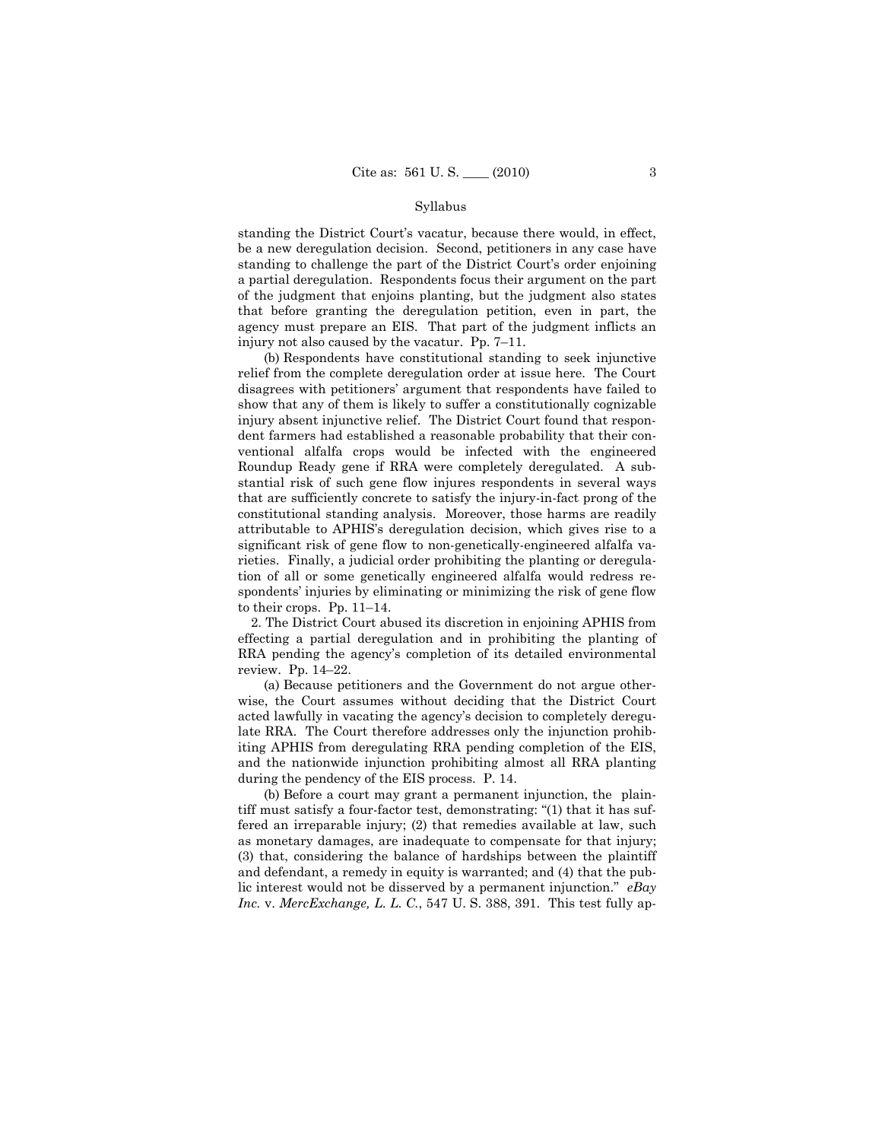standing the District Court's vacatur, because there would, in effect, be a new deregulation decision. Second, petitioners in any case have standing to challenge the part of the District Court's order enjoining a partial deregulation. Respondents focus their argument on the part of the judgment that enjoins planting, but the judgment also states that before granting the deregulation petition, even in part, the agency must prepare an EIS. That part of the judgment inflicts an injury not also caused by the vacatur. Pp. 7–11.

 (b) Respondents have constitutional standing to seek injunctive relief from the complete deregulation order at issue here. The Court disagrees with petitioners' argument that respondents have failed to show that any of them is likely to suffer a constitutionally cognizable injury absent injunctive relief. The District Court found that respondent farmers had established a reasonable probability that their conventional alfalfa crops would be infected with the engineered Roundup Ready gene if RRA were completely deregulated. A substantial risk of such gene flow injures respondents in several ways that are sufficiently concrete to satisfy the injury-in-fact prong of the constitutional standing analysis. Moreover, those harms are readily attributable to APHIS's deregulation decision, which gives rise to a significant risk of gene flow to non-genetically-engineered alfalfa varieties. Finally, a judicial order prohibiting the planting or deregulation of all or some genetically engineered alfalfa would redress respondents' injuries by eliminating or minimizing the risk of gene flow to their crops. Pp. 11–14.

 2. The District Court abused its discretion in enjoining APHIS from effecting a partial deregulation and in prohibiting the planting of RRA pending the agency's completion of its detailed environmental review. Pp. 14–22.

 (a) Because petitioners and the Government do not argue otherwise, the Court assumes without deciding that the District Court acted lawfully in vacating the agency's decision to completely deregulate RRA. The Court therefore addresses only the injunction prohibiting APHIS from deregulating RRA pending completion of the EIS, and the nationwide injunction prohibiting almost all RRA planting during the pendency of the EIS process. P. 14.

 (b) Before a court may grant a permanent injunction, the plaintiff must satisfy a four-factor test, demonstrating: "(1) that it has suffered an irreparable injury; (2) that remedies available at law, such as monetary damages, are inadequate to compensate for that injury; (3) that, considering the balance of hardships between the plaintiff and defendant, a remedy in equity is warranted; and (4) that the public interest would not be disserved by a permanent injunction." *eBay Inc.* v. *MercExchange, L. L. C.*, 547 U. S. 388, 391. This test fully ap-